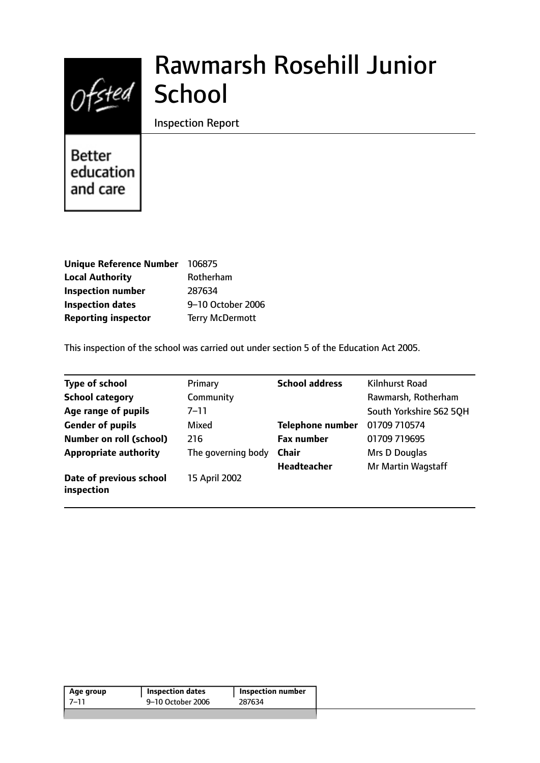

# Rawmarsh Rosehill Junior

Inspection Report

Better education and care

| <b>Unique Reference Number</b> | 106875                 |
|--------------------------------|------------------------|
| <b>Local Authority</b>         | Rotherham              |
| <b>Inspection number</b>       | 287634                 |
| <b>Inspection dates</b>        | 9-10 October 2006      |
| <b>Reporting inspector</b>     | <b>Terry McDermott</b> |

This inspection of the school was carried out under section 5 of the Education Act 2005.

| <b>Type of school</b>                 | Primary            | <b>School address</b>   | Kilnhurst Road          |
|---------------------------------------|--------------------|-------------------------|-------------------------|
| <b>School category</b>                | Community          |                         | Rawmarsh, Rotherham     |
| Age range of pupils                   | $7 - 11$           |                         | South Yorkshire S62 50H |
| <b>Gender of pupils</b>               | Mixed              | <b>Telephone number</b> | 01709 710574            |
| <b>Number on roll (school)</b>        | 216                | <b>Fax number</b>       | 01709 719695            |
| <b>Appropriate authority</b>          | The governing body | <b>Chair</b>            | Mrs D Douglas           |
|                                       |                    | <b>Headteacher</b>      | Mr Martin Wagstaff      |
| Date of previous school<br>inspection | 15 April 2002      |                         |                         |

| Age group | <b>Inspection dates</b> | <b>Inspection number</b> |
|-----------|-------------------------|--------------------------|
| -7–11     | 9-10 October 2006       | 287634                   |
|           |                         |                          |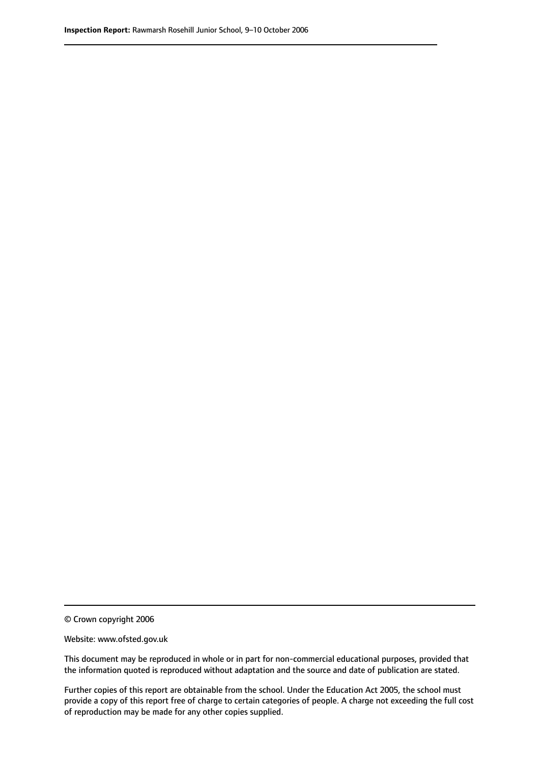© Crown copyright 2006

Website: www.ofsted.gov.uk

This document may be reproduced in whole or in part for non-commercial educational purposes, provided that the information quoted is reproduced without adaptation and the source and date of publication are stated.

Further copies of this report are obtainable from the school. Under the Education Act 2005, the school must provide a copy of this report free of charge to certain categories of people. A charge not exceeding the full cost of reproduction may be made for any other copies supplied.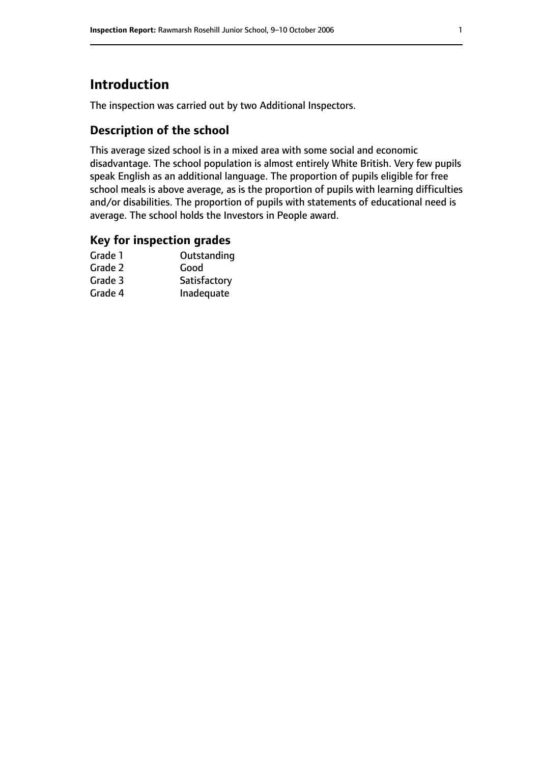# **Introduction**

The inspection was carried out by two Additional Inspectors.

## **Description of the school**

This average sized school is in a mixed area with some social and economic disadvantage. The school population is almost entirely White British. Very few pupils speak English as an additional language. The proportion of pupils eligible for free school meals is above average, as is the proportion of pupils with learning difficulties and/or disabilities. The proportion of pupils with statements of educational need is average. The school holds the Investors in People award.

## **Key for inspection grades**

| Grade 1 | Outstanding  |
|---------|--------------|
| Grade 2 | Good         |
| Grade 3 | Satisfactory |
| Grade 4 | Inadequate   |
|         |              |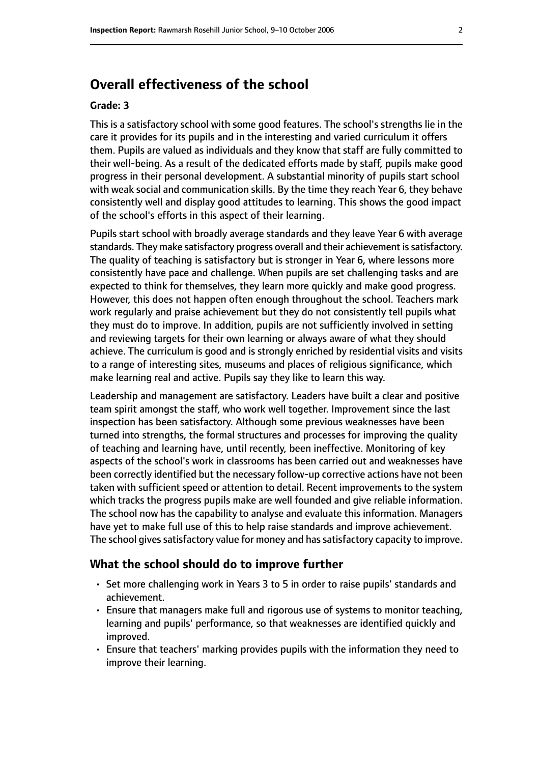# **Overall effectiveness of the school**

#### **Grade: 3**

This is a satisfactory school with some good features. The school's strengths lie in the care it provides for its pupils and in the interesting and varied curriculum it offers them. Pupils are valued as individuals and they know that staff are fully committed to their well-being. As a result of the dedicated efforts made by staff, pupils make good progress in their personal development. A substantial minority of pupils start school with weak social and communication skills. By the time they reach Year 6, they behave consistently well and display good attitudes to learning. This shows the good impact of the school's efforts in this aspect of their learning.

Pupils start school with broadly average standards and they leave Year 6 with average standards. They make satisfactory progress overall and their achievement is satisfactory. The quality of teaching is satisfactory but is stronger in Year 6, where lessons more consistently have pace and challenge. When pupils are set challenging tasks and are expected to think for themselves, they learn more quickly and make good progress. However, this does not happen often enough throughout the school. Teachers mark work regularly and praise achievement but they do not consistently tell pupils what they must do to improve. In addition, pupils are not sufficiently involved in setting and reviewing targets for their own learning or always aware of what they should achieve. The curriculum is good and is strongly enriched by residential visits and visits to a range of interesting sites, museums and places of religious significance, which make learning real and active. Pupils say they like to learn this way.

Leadership and management are satisfactory. Leaders have built a clear and positive team spirit amongst the staff, who work well together. Improvement since the last inspection has been satisfactory. Although some previous weaknesses have been turned into strengths, the formal structures and processes for improving the quality of teaching and learning have, until recently, been ineffective. Monitoring of key aspects of the school's work in classrooms has been carried out and weaknesses have been correctly identified but the necessary follow-up corrective actions have not been taken with sufficient speed or attention to detail. Recent improvements to the system which tracks the progress pupils make are well founded and give reliable information. The school now has the capability to analyse and evaluate this information. Managers have yet to make full use of this to help raise standards and improve achievement. The school gives satisfactory value for money and has satisfactory capacity to improve.

#### **What the school should do to improve further**

- Set more challenging work in Years 3 to 5 in order to raise pupils' standards and achievement.
- Ensure that managers make full and rigorous use of systems to monitor teaching, learning and pupils' performance, so that weaknesses are identified quickly and improved.
- Ensure that teachers' marking provides pupils with the information they need to improve their learning.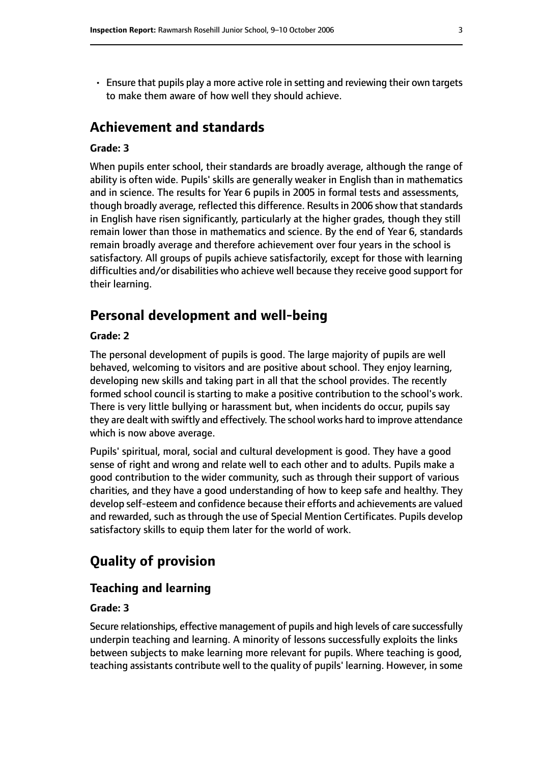• Ensure that pupils play a more active role in setting and reviewing their own targets to make them aware of how well they should achieve.

# **Achievement and standards**

#### **Grade: 3**

When pupils enter school, their standards are broadly average, although the range of ability is often wide. Pupils' skills are generally weaker in English than in mathematics and in science. The results for Year 6 pupils in 2005 in formal tests and assessments, though broadly average, reflected this difference. Results in 2006 show that standards in English have risen significantly, particularly at the higher grades, though they still remain lower than those in mathematics and science. By the end of Year 6, standards remain broadly average and therefore achievement over four years in the school is satisfactory. All groups of pupils achieve satisfactorily, except for those with learning difficulties and/or disabilities who achieve well because they receive good support for their learning.

# **Personal development and well-being**

#### **Grade: 2**

The personal development of pupils is good. The large majority of pupils are well behaved, welcoming to visitors and are positive about school. They enjoy learning, developing new skills and taking part in all that the school provides. The recently formed school council is starting to make a positive contribution to the school's work. There is very little bullying or harassment but, when incidents do occur, pupils say they are dealt with swiftly and effectively. The school works hard to improve attendance which is now above average.

Pupils' spiritual, moral, social and cultural development is good. They have a good sense of right and wrong and relate well to each other and to adults. Pupils make a good contribution to the wider community, such as through their support of various charities, and they have a good understanding of how to keep safe and healthy. They develop self-esteem and confidence because their efforts and achievements are valued and rewarded, such as through the use of Special Mention Certificates. Pupils develop satisfactory skills to equip them later for the world of work.

# **Quality of provision**

# **Teaching and learning**

#### **Grade: 3**

Secure relationships, effective management of pupils and high levels of care successfully underpin teaching and learning. A minority of lessons successfully exploits the links between subjects to make learning more relevant for pupils. Where teaching is good, teaching assistants contribute well to the quality of pupils' learning. However, in some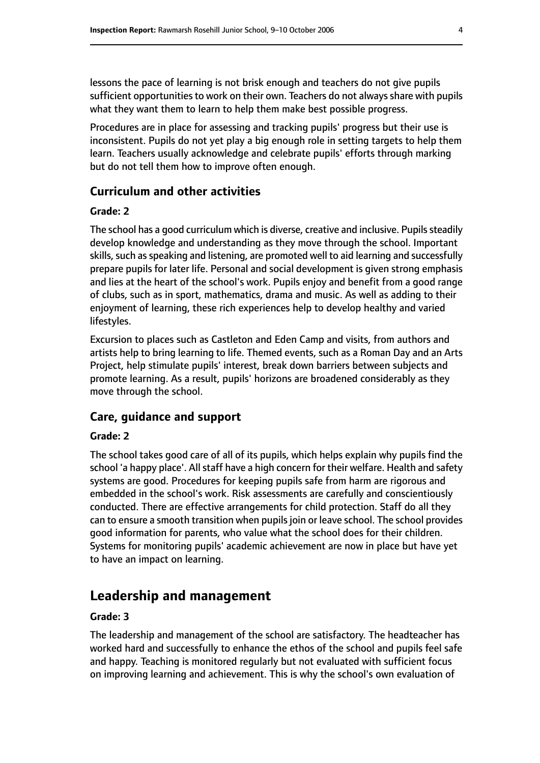lessons the pace of learning is not brisk enough and teachers do not give pupils sufficient opportunities to work on their own. Teachers do not always share with pupils what they want them to learn to help them make best possible progress.

Procedures are in place for assessing and tracking pupils' progress but their use is inconsistent. Pupils do not yet play a big enough role in setting targets to help them learn. Teachers usually acknowledge and celebrate pupils' efforts through marking but do not tell them how to improve often enough.

## **Curriculum and other activities**

#### **Grade: 2**

The school has a good curriculum which is diverse, creative and inclusive. Pupils steadily develop knowledge and understanding as they move through the school. Important skills, such as speaking and listening, are promoted well to aid learning and successfully prepare pupils for later life. Personal and social development is given strong emphasis and lies at the heart of the school's work. Pupils enjoy and benefit from a good range of clubs, such as in sport, mathematics, drama and music. As well as adding to their enjoyment of learning, these rich experiences help to develop healthy and varied lifestyles.

Excursion to places such as Castleton and Eden Camp and visits, from authors and artists help to bring learning to life. Themed events, such as a Roman Day and an Arts Project, help stimulate pupils' interest, break down barriers between subjects and promote learning. As a result, pupils' horizons are broadened considerably as they move through the school.

#### **Care, guidance and support**

#### **Grade: 2**

The school takes good care of all of its pupils, which helps explain why pupils find the school 'a happy place'. All staff have a high concern for their welfare. Health and safety systems are good. Procedures for keeping pupils safe from harm are rigorous and embedded in the school's work. Risk assessments are carefully and conscientiously conducted. There are effective arrangements for child protection. Staff do all they can to ensure a smooth transition when pupils join or leave school. The school provides good information for parents, who value what the school does for their children. Systems for monitoring pupils' academic achievement are now in place but have yet to have an impact on learning.

## **Leadership and management**

#### **Grade: 3**

The leadership and management of the school are satisfactory. The headteacher has worked hard and successfully to enhance the ethos of the school and pupils feel safe and happy. Teaching is monitored regularly but not evaluated with sufficient focus on improving learning and achievement. This is why the school's own evaluation of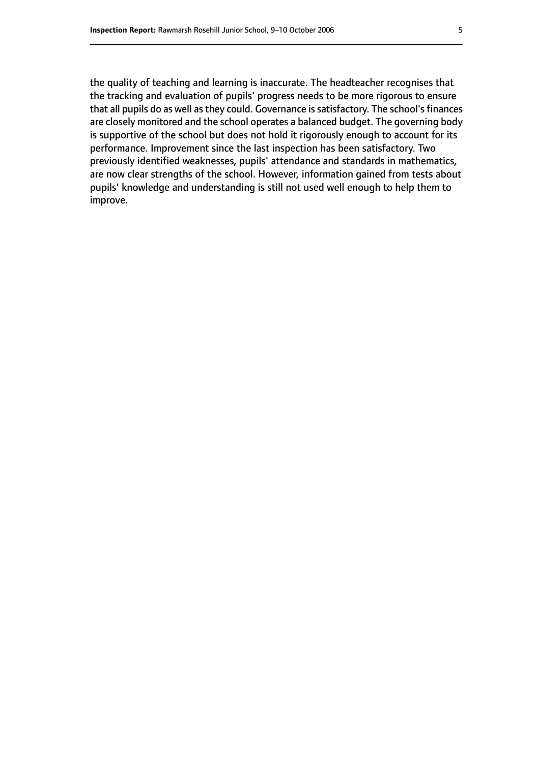the quality of teaching and learning is inaccurate. The headteacher recognises that the tracking and evaluation of pupils' progress needs to be more rigorous to ensure that all pupils do as well as they could. Governance is satisfactory. The school's finances are closely monitored and the school operates a balanced budget. The governing body is supportive of the school but does not hold it rigorously enough to account for its performance. Improvement since the last inspection has been satisfactory. Two previously identified weaknesses, pupils' attendance and standards in mathematics, are now clear strengths of the school. However, information gained from tests about pupils' knowledge and understanding is still not used well enough to help them to improve.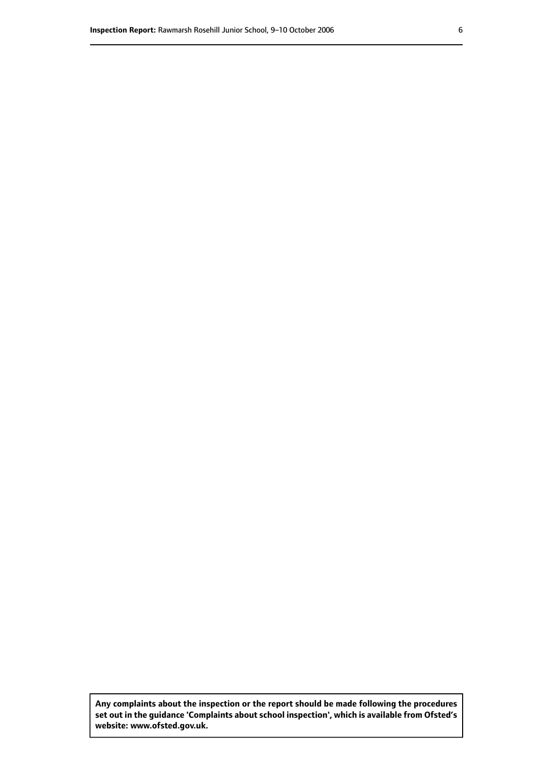**Any complaints about the inspection or the report should be made following the procedures set out inthe guidance 'Complaints about school inspection', whichis available from Ofsted's website: www.ofsted.gov.uk.**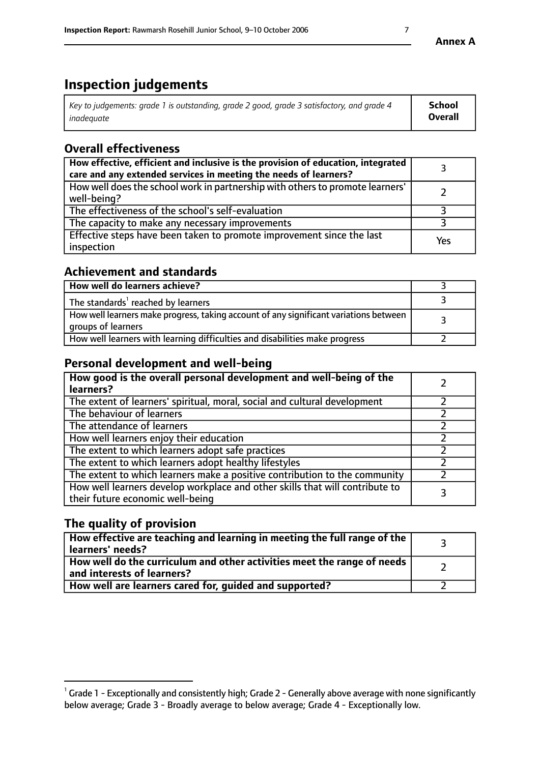# **Inspection judgements**

| Key to judgements: grade 1 is outstanding, grade 2 good, grade 3 satisfactory, and grade 4 | School         |
|--------------------------------------------------------------------------------------------|----------------|
| inadeauate                                                                                 | <b>Overall</b> |

# **Overall effectiveness**

| How effective, efficient and inclusive is the provision of education, integrated<br>care and any extended services in meeting the needs of learners? |     |
|------------------------------------------------------------------------------------------------------------------------------------------------------|-----|
| How well does the school work in partnership with others to promote learners'<br>well-being?                                                         |     |
| The effectiveness of the school's self-evaluation                                                                                                    |     |
| The capacity to make any necessary improvements                                                                                                      |     |
| Effective steps have been taken to promote improvement since the last<br>inspection                                                                  | Yes |

## **Achievement and standards**

| How well do learners achieve?                                                                               |  |
|-------------------------------------------------------------------------------------------------------------|--|
| The standards <sup>1</sup> reached by learners                                                              |  |
| How well learners make progress, taking account of any significant variations between<br>groups of learners |  |
| How well learners with learning difficulties and disabilities make progress                                 |  |

## **Personal development and well-being**

| How good is the overall personal development and well-being of the<br>learners?                                  |  |
|------------------------------------------------------------------------------------------------------------------|--|
| The extent of learners' spiritual, moral, social and cultural development                                        |  |
| The behaviour of learners                                                                                        |  |
| The attendance of learners                                                                                       |  |
| How well learners enjoy their education                                                                          |  |
| The extent to which learners adopt safe practices                                                                |  |
| The extent to which learners adopt healthy lifestyles                                                            |  |
| The extent to which learners make a positive contribution to the community                                       |  |
| How well learners develop workplace and other skills that will contribute to<br>their future economic well-being |  |

# **The quality of provision**

| How effective are teaching and learning in meeting the full range of the<br>learners' needs?          |  |
|-------------------------------------------------------------------------------------------------------|--|
| How well do the curriculum and other activities meet the range of needs<br>and interests of learners? |  |
| How well are learners cared for, guided and supported?                                                |  |

 $^1$  Grade 1 - Exceptionally and consistently high; Grade 2 - Generally above average with none significantly below average; Grade 3 - Broadly average to below average; Grade 4 - Exceptionally low.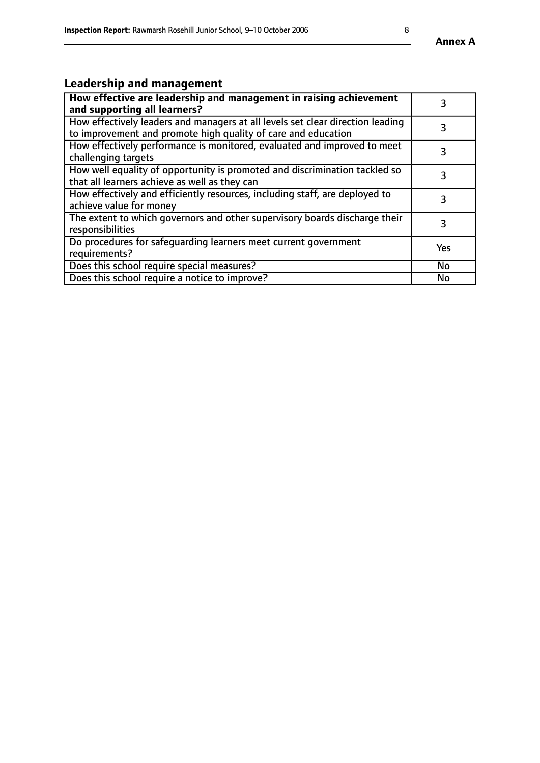#### **Annex A**

# **Leadership and management**

| How effective are leadership and management in raising achievement<br>and supporting all learners?                                              |           |
|-------------------------------------------------------------------------------------------------------------------------------------------------|-----------|
| How effectively leaders and managers at all levels set clear direction leading<br>to improvement and promote high quality of care and education |           |
| How effectively performance is monitored, evaluated and improved to meet<br>challenging targets                                                 | 3         |
| How well equality of opportunity is promoted and discrimination tackled so<br>that all learners achieve as well as they can                     |           |
| How effectively and efficiently resources, including staff, are deployed to<br>achieve value for money                                          | 3         |
| The extent to which governors and other supervisory boards discharge their<br>responsibilities                                                  | 3         |
| Do procedures for safequarding learners meet current government<br>requirements?                                                                | Yes       |
| Does this school require special measures?                                                                                                      | <b>No</b> |
| Does this school require a notice to improve?                                                                                                   | No        |